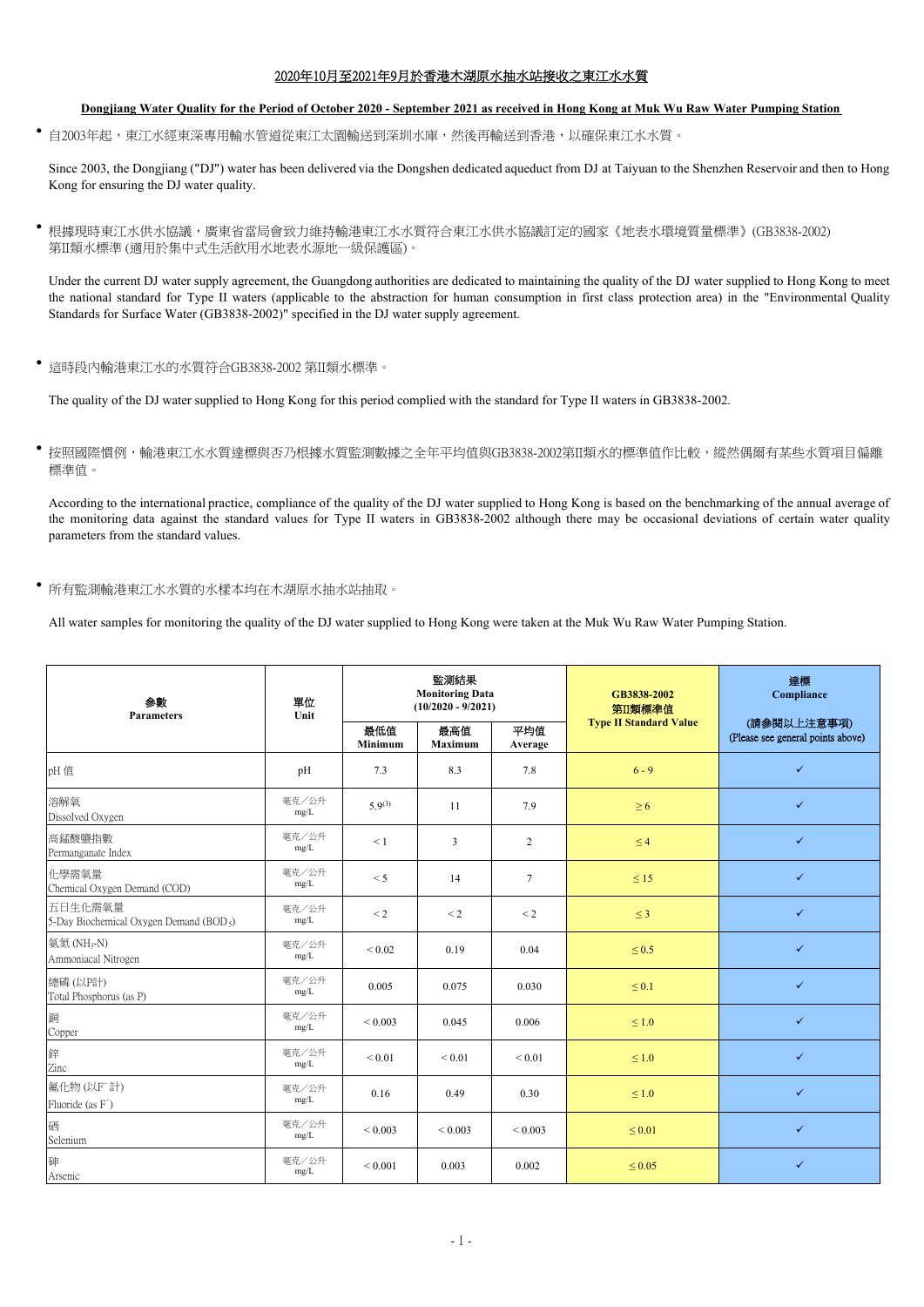## 2020年10月至2021年9月於香港木湖原水抽水站接收之東江水水質

## **Dongjiang Water Quality for the Period of October 2020 - September 2021 as received in Hong Kong at Muk Wu Raw Water Pumping Station**

• 自2003年起,東江水經東深專用輸水管道從東江太園輸送到深圳水庫,然後再輸送到香港,以確保東江水水質。

 Since 2003, the Dongjiang ("DJ") water has been delivered via the Dongshen dedicated aqueduct from DJ at Taiyuan to the Shenzhen Reservoir and then to Hong Kong for ensuring the DJ water quality.

 根據現時東江水供水協議,廣東省當局會致力維持輸港東江水水質符合東江水供水協議訂定的國家《地表水環境質量標準》(GB3838-2002) 第II類水標準 (適用於集中式生活飲用水地表水源地一級保護區)。

 Under the current DJ water supply agreement, the Guangdong authorities are dedicated to maintaining the quality of the DJ water supplied to Hong Kong to meet the national standard for Type II waters (applicable to the abstraction for human consumption in first class protection area) in the "Environmental Quality Standards for Surface Water (GB3838-2002)" specified in the DJ water supply agreement.

這時段內輸港東江水的水質符合GB3838-2002 第II類水標準。

The quality of the DJ water supplied to Hong Kong for this period complied with the standard for Type II waters in GB3838-2002.

按照國際慣例,輸港東江水水質達標與否乃根據水質監測數據之全年平均值與GB3838-2002第II類水的標準值作比較,縱然偶爾有某些水質項目偏離 標準值。

 According to the international practice, compliance of the quality of the DJ water supplied to Hong Kong is based on the benchmarking of the annual average of the monitoring data against the standard values for Type II waters in GB3838-2002 although there may be occasional deviations of certain water quality parameters from the standard values.

所有監測輸港東江水水質的水樣本均在木湖原水抽水站抽取。

All water samples for monitoring the quality of the DJ water supplied to Hong Kong were taken at the Muk Wu Raw Water Pumping Station.

| 参數<br><b>Parameters</b>                                        | 單位<br>Unit    | 監測結果<br><b>Monitoring Data</b><br>$(10/2020 - 9/2021)$ |                |                | GB3838-2002<br>第II類標準值        | 達標<br>Compliance                                 |
|----------------------------------------------------------------|---------------|--------------------------------------------------------|----------------|----------------|-------------------------------|--------------------------------------------------|
|                                                                |               | 最低值<br>Minimum                                         | 最高值<br>Maximum | 平均值<br>Average | <b>Type II Standard Value</b> | (請參閱以上注意事項)<br>(Please see general points above) |
| pH 值                                                           | pH            | 7.3                                                    | 8.3            | 7.8            | $6 - 9$                       | $\checkmark$                                     |
| 溶解氧<br>Dissolved Oxygen                                        | 毫克/公升<br>mg/L | $5.9^{(3)}$                                            | 11             | 7.9            | $\geq 6$                      | $\checkmark$                                     |
| 高錳酸鹽指數<br>Permanganate Index                                   | 毫克/公升<br>mg/L | $\leq 1$                                               | $\overline{3}$ | $\overline{2}$ | $\leq 4$                      | $\checkmark$                                     |
| 化學需氧量<br>Chemical Oxygen Demand (COD)                          | 毫克/公升<br>mg/L | < 5                                                    | 14             | $\tau$         | $\leq 15$                     | $\checkmark$                                     |
| 五日生化需氧量<br>5-Day Biochemical Oxygen Demand (BOD <sub>5</sub> ) | 毫克/公升<br>mg/L | $\leq$ 2                                               | $\leq$ 2       | $\leq$ 2       | $\leq$ 3                      | $\checkmark$                                     |
| 氨氮(NH <sub>3</sub> -N)<br>Ammoniacal Nitrogen                  | 毫克/公升<br>mg/L | ${}< 0.02$                                             | 0.19           | 0.04           | $\leq 0.5$                    | $\checkmark$                                     |
| 總磷(以P計)<br>Total Phosphorus (as P)                             | 毫克/公升<br>mg/L | 0.005                                                  | 0.075          | 0.030          | $\leq 0.1$                    | $\checkmark$                                     |
| 銅<br>Copper                                                    | 毫克/公升<br>mg/L | ${}< 0.003$                                            | 0.045          | 0.006          | $\leq 1.0$                    | $\checkmark$                                     |
| 鋅<br>Zinc                                                      | 毫克/公升<br>mg/L | ${}< 0.01$                                             | ${}_{0.01}$    | ${}< 0.01$     | $\leq 1.0$                    | $\checkmark$                                     |
| 氟化物(以F 計)<br>Fluoride (as F <sup>-</sup> )                     | 毫克/公升<br>mg/L | 0.16                                                   | 0.49           | 0.30           | $\leq 1.0$                    | $\checkmark$                                     |
| 硒<br>Selenium                                                  | 毫克/公升<br>mg/L | ${}< 0.003$                                            | ${}_{0.003}$   | ${}_{0.003}$   | $\leq 0.01$                   | $\checkmark$                                     |
| 砷<br>Arsenic                                                   | 毫克/公升<br>mg/L | ${}< 0.001$                                            | 0.003          | 0.002          | $\leq 0.05$                   | $\checkmark$                                     |